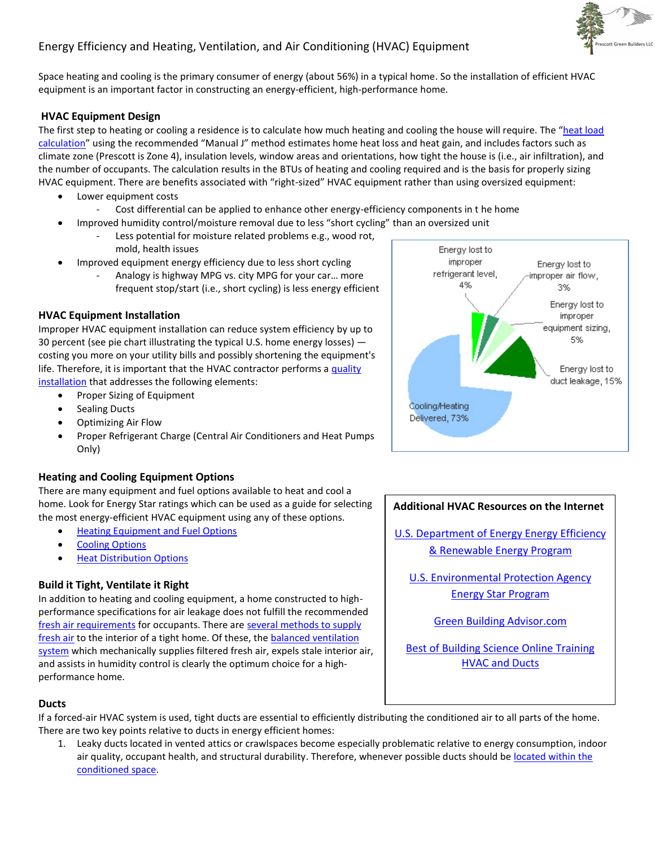# Energy Efficiency and Heating, Ventilation, and Air Conditioning (HVAC) Equipment

Space heating and cooling is the primary consumer of energy (about 56%) in a typical home. So the installation of efficient HVAC equipment is an important factor in constructing an energy-efficient, high-performance home.

## **HVAC Equipment Design**

The first step to heating or cooling a residence is to calculate how much heating and cooling the house will require. The "[heat load](http://www.energysavers.gov/your_home/space_heating_cooling/index.cfm/mytopic=12340) [calculation](http://www.energysavers.gov/your_home/space_heating_cooling/index.cfm/mytopic=12340)" using the recommended "Manual J" method estimates home heat loss and heat gain, and includes factors such as climate zone (Prescott is Zone 4), insulation levels, window areas and orientations, how tight the house is (i.e., air infiltration), and the number of occupants. The calculation results in the BTUs of heating and cooling required and is the basis for properly sizing HVAC equipment. There are benefits associated with "right-sized" HVAC equipment rather than using oversized equipment:

- Lower equipment costs
	- Cost differential can be applied to enhance other energy-efficiency components in t he home
	- Improved humidity control/moisture removal due to less "short cycling" than an oversized unit
		- Less potential for moisture related problems e.g., wood rot, mold, health issues
- Improved equipment energy efficiency due to less short cycling
	- Analogy is highway MPG vs. city MPG for your car... more frequent stop/start (i.e., short cycling) is less energy efficient

### **HVAC Equipment Installation**

Improper HVAC equipment installation can reduce system efficiency by up to 30 percent (see pie chart illustrating the typical U.S. home energy losses) costing you more on your utility bills and possibly shortening the equipment's life. Therefore, it is important that the HVAC contractor performs a [quality](http://www.energystar.gov/index.cfm?c=hvac_install.hvac_install_index) [installation](http://www.energystar.gov/index.cfm?c=hvac_install.hvac_install_index) that addresses the following elements:

- Proper Sizing of Equipment
- Sealing Ducts
- Optimizing Air Flow
- Proper Refrigerant Charge (Central Air Conditioners and Heat Pumps Only)

#### **Heating and Cooling Equipment Options**

There are many equipment and fuel options available to heat and cool a home. Look for Energy Star ratings which can be used as a guide for selecting the most energy-efficient HVAC equipment using any of these options.

- Heating [Equipment and Fuel Options](http://www.greenbuildingadvisor.com/green-basics/heating-options)
- [Cooling Options](http://www.greenbuildingadvisor.com/green-basics/cooling-options)
- [Heat Distribution Options](http://www.greenbuildingadvisor.com/green-basics/heat-distribution)

## **Build it Tight, Ventilate it Right**

In addition to heating and cooling equipment, a home constructed to highperformance specifications for air leakage does not fulfill the recommended [fresh air requirements](http://www.greenbuildingadvisor.com/blogs/dept/energy-solutions/how-tight-too-tight) for occupants. There are [several methods to supply](http://www.greenbuildingadvisor.com/green-basics/ventilation-choices-three-ways-keep-indoor-air-fresh) [fresh air](http://www.greenbuildingadvisor.com/green-basics/ventilation-choices-three-ways-keep-indoor-air-fresh) to the interior of a tight home. Of these, the **[balanced ventilation](http://www.energystar.gov/ia/new_homes/features/BalancedVentSys1-17-01.pdf)** [system](http://www.energystar.gov/ia/new_homes/features/BalancedVentSys1-17-01.pdf) which mechanically supplies filtered fresh air, expels stale interior air, and assists in humidity control is clearly the optimum choice for a highperformance home.

#### **Ducts**

If a forced-air HVAC system is used, tight ducts are essential to efficiently distributing the conditioned air to all parts of the home. There are two key points relative to ducts in energy efficient homes:

1. Leaky ducts located in vented attics or crawlspaces become especially problematic relative to energy consumption, indoor air quality, occupant health, and structural durability. Therefore, whenever possible ducts should be [located within the](http://www.toolbase.org/pdf/techinv/ductsinconditionedspace_techspec.pdf) [conditioned space.](http://www.toolbase.org/pdf/techinv/ductsinconditionedspace_techspec.pdf)